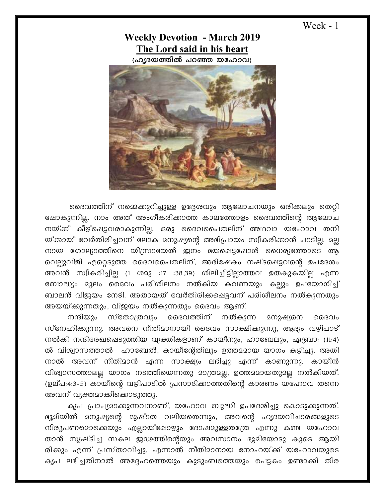Week - 1

## **Weekly Devotion - March 2019 The Lord said in his heart**

(ഹൃദയത്തിൽ പറഞ്ഞ യഹോവ)



ഒദെവത്തിന് നമ്മെക്കുറിച്ചുള്ള ഉദ്ദേശവും ആലോചനയും ഒരിക്കലും തെറ്റി പ്പോകുന്നില്ല. നാം അത് അംഗീകരിക്കാത്ത കാലത്തോളം ദൈവത്തിന്റെ ആലോച നയ്ക് കീഴ്ഷെട്ടവരാകുന്നില്ല. ഒരു ദൈവപൈതലിന് അഥവാ യഹോവ തനി യ്ക്കായ് വേർതിരിച്ചവന് ലോക മനുഷ്യന്റെ അഭിപ്രായം സ്വീകരിക്കാൻ പാടില്ല. മല്ല നായ ഗോല്യാത്തിനെ യിസ്രായേൽ ജനം ഭയപ്പെട്ടപ്പോൾ ധൈര്യത്തോടെ ആ വെല്ലുവിളി ഏറ്റെടുത്ത ദൈവപൈതലിന്, അഭിഷേകം നഷ്ടപ്പെട്ടവന്റെ ഉപദേശം അവൻ സ്വീകരിച്ചില്ല (1 ശമു :17 :38,39) ശീലിച്ചിട്ടില്ലാത്തവ ഉതകുകയില്ല എന്ന ബോദ്ധ്യം മൂലം ദൈവം പരിശീലനം നൽകിയ കവണയും കല്ലും ഉപയോഗിച്ച് ബാലൻ വിജയം നേടി. അതായത് വേർതിരിക്കപ്പെട്ടവന് പരിശീലനം നൽകുന്നതും അയയ്ക്കുന്നതും, വിജയം നൽകുന്നതും ദൈവം ആണ്.

നന്ദിയും സ്തോത്രവും ദൈവത്തിന് നൽകുന്ന മനുഷ്യനെ ദൈവം സ്നേഹിക്കുന്നു. അവനെ നീതിമാനായി ദൈവം സാക്ഷിക്കുന്നു, ആദ്യം വഴിപാട് നൽകി നന്ദിരേഖപ്പെടുത്തിയ വ്യക്തികളാണ് കായീനും, ഹാബേലും, ഏബ്രാ: (11:4) ൽ വിശ്വാസത്താൽ ഹാബേൽ, കായീന്റേതിലും ഉത്തമമായ യാഗം കഴിച്ചു. അതി നാൽ അവന് നീതിമാൻ എന്ന സാക്ഷ്യം ലഭിച്ചു എന്ന് കാണുന്നു. കായീൻ വിശ്വാസത്താലല്ല യാഗം നടത്തിയെന്നതു മാത്രമല്ല, ഉത്തമമായതുമല്ല നൽകിയത്. (ഉല്പ:4:3-5) കായീന്റെ വഴിപാടിൽ പ്രസാദിക്കാത്തതിന്റെ കാരണം യഹോവ തന്നെ അവന് വ്യക്തമാക്കിക്കൊടുത്തു.

കൃപ പ്രാപ്യമാക്കുന്നവനാണ്, യഹോവ ബുദ്ധി ഉപദേശിച്ചു കൊടുക്കുന്നത്. ഭൂമിയിൽ മനുഷ്യന്റെ ദുഷ്ടത വലിയതെന്നും, അവന്റെ ഹൃദയവിചാരങ്ങളുടെ നിരൂപണമൊക്കെയും എല്ലായ്ഷോഴും ദോഷമുള്ളതത്രേ എന്നു കണ്ട യഹോവ താൻ സൃഷ്ടിച്ച സകല ഇഢത്തിന്റെയും അവസാനം ഭൂമിയോടു കൂടെ ആയി രിക്കും എന്ന് പ്രസ്താവിച്ചു. എന്നാൽ നീതിമാനായ നോഹയ്ക്ക് യഹോവയുടെ കൃപ ലഭിച്ചതിനാൽ അദ്ദേഹത്തെയും കുടുംബത്തെയും പെട്ടകം ഉണ്ടാക്കി തിര